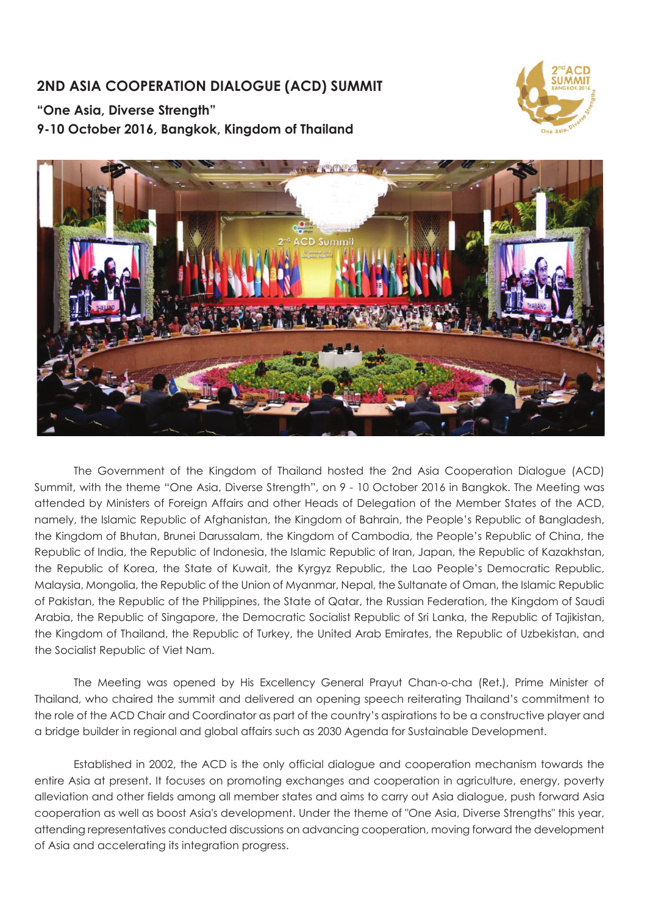# **2ND ASIA COOPERATION DIALOGUE (ACD) SUMMIT**

**"One Asia, Diverse Strength"**

**9-10 October 2016, Bangkok, Kingdom of Thailand**





 The Government of the Kingdom of Thailand hosted the 2nd Asia Cooperation Dialogue (ACD) Summit, with the theme "One Asia, Diverse Strength", on 9 - 10 October 2016 in Bangkok. The Meeting was attended by Ministers of Foreign Affairs and other Heads of Delegation of the Member States of the ACD, namely, the Islamic Republic of Afghanistan, the Kingdom of Bahrain, the People's Republic of Bangladesh, the Kingdom of Bhutan, Brunei Darussalam, the Kingdom of Cambodia, the People's Republic of China, the Republic of India, the Republic of Indonesia, the Islamic Republic of Iran, Japan, the Republic of Kazakhstan, the Republic of Korea, the State of Kuwait, the Kyrgyz Republic, the Lao People's Democratic Republic, Malaysia, Mongolia, the Republic of the Union of Myanmar, Nepal, the Sultanate of Oman, the Islamic Republic of Pakistan, the Republic of the Philippines, the State of Qatar, the Russian Federation, the Kingdom of Saudi Arabia, the Republic of Singapore, the Democratic Socialist Republic of Sri Lanka, the Republic of Tajikistan, the Kingdom of Thailand, the Republic of Turkey, the United Arab Emirates, the Republic of Uzbekistan, and the Socialist Republic of Viet Nam.

The Meeting was opened by His Excellency General Prayut Chan-o-cha (Ret.), Prime Minister of Thailand, who chaired the summit and delivered an opening speech reiterating Thailand's commitment to the role of the ACD Chair and Coordinator as part of the country's aspirations to be a constructive player and a bridge builder in regional and global affairs such as 2030 Agenda for Sustainable Development.

 Established in 2002, the ACD is the only official dialogue and cooperation mechanism towards the entire Asia at present. It focuses on promoting exchanges and cooperation in agriculture, energy, poverty alleviation and other fields among all member states and aims to carry out Asia dialogue, push forward Asia cooperation as well as boost Asia's development. Under the theme of "One Asia, Diverse Strengths" this year, attending representatives conducted discussions on advancing cooperation, moving forward the development of Asia and accelerating its integration progress.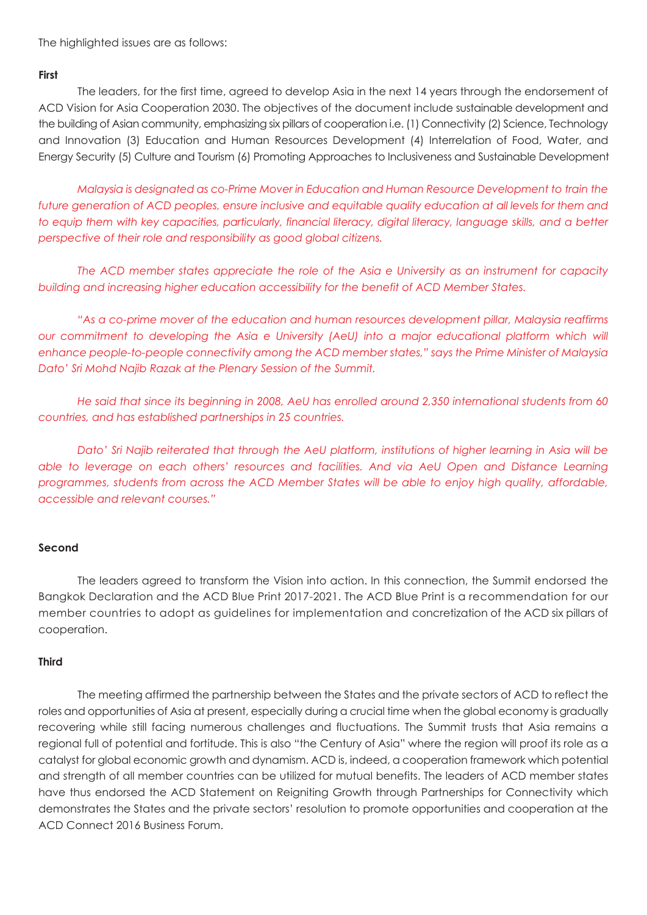The highlighted issues are as follows:

## **First**

 The leaders, for the first time, agreed to develop Asia in the next 14 years through the endorsement of ACD Vision for Asia Cooperation 2030. The objectives of the document include sustainable development and the building of Asian community, emphasizing six pillars of cooperation i.e. (1) Connectivity (2) Science, Technology and Innovation (3) Education and Human Resources Development (4) Interrelation of Food, Water, and Energy Security (5) Culture and Tourism (6) Promoting Approaches to Inclusiveness and Sustainable Development

*Malaysia is designated as co-Prime Mover in Education and Human Resource Development to train the future generation of ACD peoples, ensure inclusive and equitable quality education at all levels for them and to equip them with key capacities, particularly, financial literacy, digital literacy, language skills, and a better perspective of their role and responsibility as good global citizens.* 

 *The ACD member states appreciate the role of the Asia e University as an instrument for capacity building and increasing higher education accessibility for the benefit of ACD Member States.*

 *"As a co-prime mover of the education and human resources development pillar, Malaysia reaffirms our commitment to developing the Asia e University (AeU) into a major educational platform which will enhance people-to-people connectivity among the ACD member states," says the Prime Minister of Malaysia Dato' Sri Mohd Najib Razak at the Plenary Session of the Summit.*

 *He said that since its beginning in 2008, AeU has enrolled around 2,350 international students from 60 countries, and has established partnerships in 25 countries.*

 *Dato' Sri Najib reiterated that through the AeU platform, institutions of higher learning in Asia will be*  able to leverage on each others' resources and facilities. And via AeU Open and Distance Learning *programmes, students from across the ACD Member States will be able to enjoy high quality, affordable, accessible and relevant courses."*

### **Second**

 The leaders agreed to transform the Vision into action. In this connection, the Summit endorsed the Bangkok Declaration and the ACD Blue Print 2017-2021. The ACD Blue Print is a recommendation for our member countries to adopt as guidelines for implementation and concretization of the ACD six pillars of cooperation.

#### **Third**

 The meeting affirmed the partnership between the States and the private sectors of ACD to reflect the roles and opportunities of Asia at present, especially during a crucial time when the global economy is gradually recovering while still facing numerous challenges and fluctuations. The Summit trusts that Asia remains a regional full of potential and fortitude. This is also "the Century of Asia" where the region will proof its role as a catalyst for global economic growth and dynamism. ACD is, indeed, a cooperation framework which potential and strength of all member countries can be utilized for mutual benefits. The leaders of ACD member states have thus endorsed the ACD Statement on Reigniting Growth through Partnerships for Connectivity which demonstrates the States and the private sectors' resolution to promote opportunities and cooperation at the ACD Connect 2016 Business Forum.